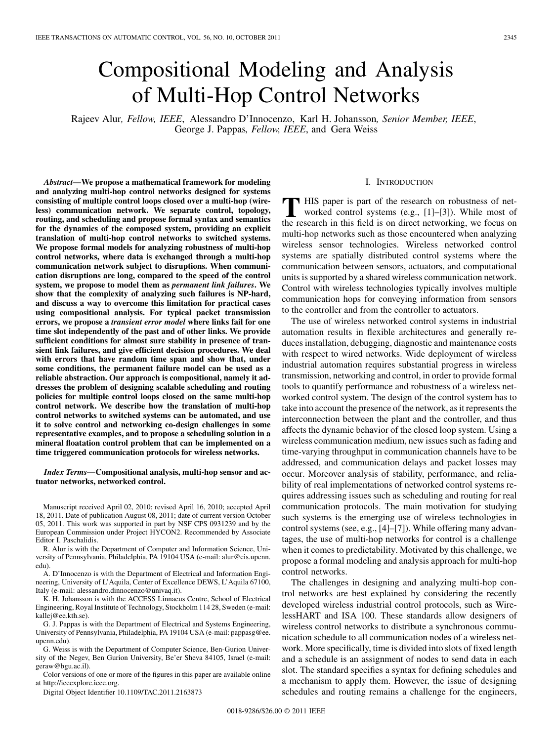# Compositional Modeling and Analysis of Multi-Hop Control Networks

Rajeev Alur*, Fellow, IEEE*, Alessandro D'Innocenzo, Karl H. Johansson*, Senior Member, IEEE*, George J. Pappas*, Fellow, IEEE*, and Gera Weiss

*Abstract—***We propose a mathematical framework for modeling and analyzing multi-hop control networks designed for systems consisting of multiple control loops closed over a multi-hop (wireless) communication network. We separate control, topology, routing, and scheduling and propose formal syntax and semantics for the dynamics of the composed system, providing an explicit translation of multi-hop control networks to switched systems. We propose formal models for analyzing robustness of multi-hop control networks, where data is exchanged through a multi-hop communication network subject to disruptions. When communication disruptions are long, compared to the speed of the control system, we propose to model them as** *permanent link failures***. We show that the complexity of analyzing such failures is NP-hard, and discuss a way to overcome this limitation for practical cases using compositional analysis. For typical packet transmission errors, we propose a** *transient error model* **where links fail for one time slot independently of the past and of other links. We provide sufficient conditions for almost sure stability in presence of transient link failures, and give efficient decision procedures. We deal with errors that have random time span and show that, under some conditions, the permanent failure model can be used as a reliable abstraction. Our approach is compositional, namely it addresses the problem of designing scalable scheduling and routing policies for multiple control loops closed on the same multi-hop control network. We describe how the translation of multi-hop control networks to switched systems can be automated, and use it to solve control and networking co-design challenges in some representative examples, and to propose a scheduling solution in a mineral floatation control problem that can be implemented on a time triggered communication protocols for wireless networks.**

*Index Terms—***Compositional analysis, multi-hop sensor and actuator networks, networked control.**

Manuscript received April 02, 2010; revised April 16, 2010; accepted April 18, 2011. Date of publication August 08, 2011; date of current version October 05, 2011. This work was supported in part by NSF CPS 0931239 and by the European Commission under Project HYCON2. Recommended by Associate Editor I. Paschalidis.

R. Alur is with the Department of Computer and Information Science, University of Pennsylvania, Philadelphia, PA 19104 USA (e-mail: alur@cis.upenn. edu).

A. D'Innocenzo is with the Department of Electrical and Information Engineering, University of L'Aquila, Center of Excellence DEWS, L'Aquila 67100, Italy (e-mail: alessandro.dinnocenzo@univaq.it).

K. H. Johansson is with the ACCESS Linnaeus Centre, School of Electrical Engineering, Royal Institute of Technology, Stockholm 114 28, Sweden (e-mail: kallej@ee.kth.se).

G. J. Pappas is with the Department of Electrical and Systems Engineering, University of Pennsylvania, Philadelphia, PA 19104 USA (e-mail: pappasg@ee. upenn.edu).

G. Weiss is with the Department of Computer Science, Ben-Gurion University of the Negev, Ben Gurion University, Be'er Sheva 84105, Israel (e-mail: geraw@bgu.ac.il).

Color versions of one or more of the figures in this paper are available online at http://ieeexplore.ieee.org.

Digital Object Identifier 10.1109/TAC.2011.2163873

#### I. INTRODUCTION

**T** HIS paper is part of the research on robustness of networked control systems (e.g., [1]–[3]). While most of the research in this field is on direct networking, we focus on multi-hop networks such as those encountered when analyzing wireless sensor technologies. Wireless networked control systems are spatially distributed control systems where the communication between sensors, actuators, and computational units is supported by a shared wireless communication network. Control with wireless technologies typically involves multiple communication hops for conveying information from sensors to the controller and from the controller to actuators.

The use of wireless networked control systems in industrial automation results in flexible architectures and generally reduces installation, debugging, diagnostic and maintenance costs with respect to wired networks. Wide deployment of wireless industrial automation requires substantial progress in wireless transmission, networking and control, in order to provide formal tools to quantify performance and robustness of a wireless networked control system. The design of the control system has to take into account the presence of the network, as it represents the interconnection between the plant and the controller, and thus affects the dynamic behavior of the closed loop system. Using a wireless communication medium, new issues such as fading and time-varying throughput in communication channels have to be addressed, and communication delays and packet losses may occur. Moreover analysis of stability, performance, and reliability of real implementations of networked control systems requires addressing issues such as scheduling and routing for real communication protocols. The main motivation for studying such systems is the emerging use of wireless technologies in control systems (see, e.g., [4]–[7]). While offering many advantages, the use of multi-hop networks for control is a challenge when it comes to predictability. Motivated by this challenge, we propose a formal modeling and analysis approach for multi-hop control networks.

The challenges in designing and analyzing multi-hop control networks are best explained by considering the recently developed wireless industrial control protocols, such as WirelessHART and ISA 100. These standards allow designers of wireless control networks to distribute a synchronous communication schedule to all communication nodes of a wireless network. More specifically, time is divided into slots of fixed length and a schedule is an assignment of nodes to send data in each slot. The standard specifies a syntax for defining schedules and a mechanism to apply them. However, the issue of designing schedules and routing remains a challenge for the engineers,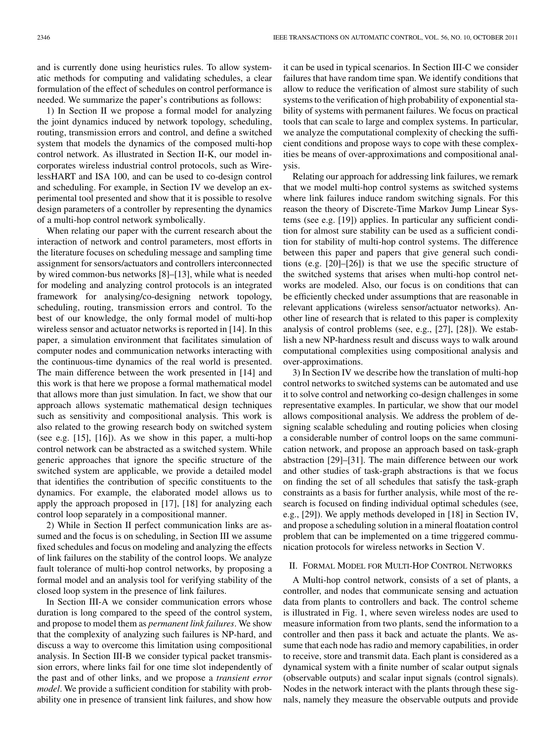and is currently done using heuristics rules. To allow systematic methods for computing and validating schedules, a clear formulation of the effect of schedules on control performance is needed. We summarize the paper's contributions as follows:

1) In Section II we propose a formal model for analyzing the joint dynamics induced by network topology, scheduling, routing, transmission errors and control, and define a switched system that models the dynamics of the composed multi-hop control network. As illustrated in Section II-K, our model incorporates wireless industrial control protocols, such as WirelessHART and ISA 100, and can be used to co-design control and scheduling. For example, in Section IV we develop an experimental tool presented and show that it is possible to resolve design parameters of a controller by representing the dynamics of a multi-hop control network symbolically.

When relating our paper with the current research about the interaction of network and control parameters, most efforts in the literature focuses on scheduling message and sampling time assignment for sensors/actuators and controllers interconnected by wired common-bus networks [8]–[13], while what is needed for modeling and analyzing control protocols is an integrated framework for analysing/co-designing network topology, scheduling, routing, transmission errors and control. To the best of our knowledge, the only formal model of multi-hop wireless sensor and actuator networks is reported in [14]. In this paper, a simulation environment that facilitates simulation of computer nodes and communication networks interacting with the continuous-time dynamics of the real world is presented. The main difference between the work presented in [14] and this work is that here we propose a formal mathematical model that allows more than just simulation. In fact, we show that our approach allows systematic mathematical design techniques such as sensitivity and compositional analysis. This work is also related to the growing research body on switched system (see e.g. [15], [16]). As we show in this paper, a multi-hop control network can be abstracted as a switched system. While generic approaches that ignore the specific structure of the switched system are applicable, we provide a detailed model that identifies the contribution of specific constituents to the dynamics. For example, the elaborated model allows us to apply the approach proposed in [17], [18] for analyzing each control loop separately in a compositional manner.

2) While in Section II perfect communication links are assumed and the focus is on scheduling, in Section III we assume fixed schedules and focus on modeling and analyzing the effects of link failures on the stability of the control loops. We analyze fault tolerance of multi-hop control networks, by proposing a formal model and an analysis tool for verifying stability of the closed loop system in the presence of link failures.

In Section III-A we consider communication errors whose duration is long compared to the speed of the control system, and propose to model them as *permanent link failures*. We show that the complexity of analyzing such failures is NP-hard, and discuss a way to overcome this limitation using compositional analysis. In Section III-B we consider typical packet transmission errors, where links fail for one time slot independently of the past and of other links, and we propose a *transient error model*. We provide a sufficient condition for stability with probability one in presence of transient link failures, and show how

it can be used in typical scenarios. In Section III-C we consider failures that have random time span. We identify conditions that allow to reduce the verification of almost sure stability of such systems to the verification of high probability of exponential stability of systems with permanent failures. We focus on practical tools that can scale to large and complex systems. In particular, we analyze the computational complexity of checking the sufficient conditions and propose ways to cope with these complexities be means of over-approximations and compositional analysis.

Relating our approach for addressing link failures, we remark that we model multi-hop control systems as switched systems where link failures induce random switching signals. For this reason the theory of Discrete-Time Markov Jump Linear Systems (see e.g. [19]) applies. In particular any sufficient condition for almost sure stability can be used as a sufficient condition for stability of multi-hop control systems. The difference between this paper and papers that give general such conditions (e.g. [20]–[26]) is that we use the specific structure of the switched systems that arises when multi-hop control networks are modeled. Also, our focus is on conditions that can be efficiently checked under assumptions that are reasonable in relevant applications (wireless sensor/actuator networks). Another line of research that is related to this paper is complexity analysis of control problems (see, e.g., [27], [28]). We establish a new NP-hardness result and discuss ways to walk around computational complexities using compositional analysis and over-approximations.

3) In Section IV we describe how the translation of multi-hop control networks to switched systems can be automated and use it to solve control and networking co-design challenges in some representative examples. In particular, we show that our model allows compositional analysis. We address the problem of designing scalable scheduling and routing policies when closing a considerable number of control loops on the same communication network, and propose an approach based on task-graph abstraction [29]–[31]. The main difference between our work and other studies of task-graph abstractions is that we focus on finding the set of all schedules that satisfy the task-graph constraints as a basis for further analysis, while most of the research is focused on finding individual optimal schedules (see, e.g., [29]). We apply methods developed in [18] in Section IV, and propose a scheduling solution in a mineral floatation control problem that can be implemented on a time triggered communication protocols for wireless networks in Section V.

## II. FORMAL MODEL FOR MULTI-HOP CONTROL NETWORKS

A Multi-hop control network, consists of a set of plants, a controller, and nodes that communicate sensing and actuation data from plants to controllers and back. The control scheme is illustrated in Fig. 1, where seven wireless nodes are used to measure information from two plants, send the information to a controller and then pass it back and actuate the plants. We assume that each node has radio and memory capabilities, in order to receive, store and transmit data. Each plant is considered as a dynamical system with a finite number of scalar output signals (observable outputs) and scalar input signals (control signals). Nodes in the network interact with the plants through these signals, namely they measure the observable outputs and provide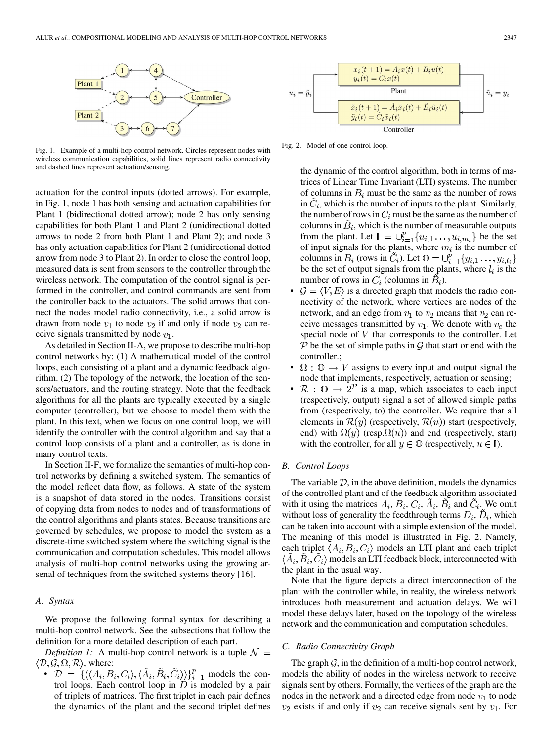

Fig. 1. Example of a multi-hop control network. Circles represent nodes with wireless communication capabilities, solid lines represent radio connectivity and dashed lines represent actuation/sensing.

actuation for the control inputs (dotted arrows). For example, in Fig. 1, node 1 has both sensing and actuation capabilities for Plant 1 (bidirectional dotted arrow); node 2 has only sensing capabilities for both Plant 1 and Plant 2 (unidirectional dotted arrows to node 2 from both Plant 1 and Plant 2); and node 3 has only actuation capabilities for Plant 2 (unidirectional dotted arrow from node 3 to Plant 2). In order to close the control loop, measured data is sent from sensors to the controller through the wireless network. The computation of the control signal is performed in the controller, and control commands are sent from the controller back to the actuators. The solid arrows that connect the nodes model radio connectivity, i.e., a solid arrow is drawn from node  $v_1$  to node  $v_2$  if and only if node  $v_2$  can receive signals transmitted by node  $v_1$ .

As detailed in Section II-A, we propose to describe multi-hop control networks by: (1) A mathematical model of the control loops, each consisting of a plant and a dynamic feedback algorithm. (2) The topology of the network, the location of the sensors/actuators, and the routing strategy. Note that the feedback algorithms for all the plants are typically executed by a single computer (controller), but we choose to model them with the plant. In this text, when we focus on one control loop, we will identify the controller with the control algorithm and say that a control loop consists of a plant and a controller, as is done in many control texts.

In Section II-F, we formalize the semantics of multi-hop control networks by defining a switched system. The semantics of the model reflect data flow, as follows. A state of the system is a snapshot of data stored in the nodes. Transitions consist of copying data from nodes to nodes and of transformations of the control algorithms and plants states. Because transitions are governed by schedules, we propose to model the system as a discrete-time switched system where the switching signal is the communication and computation schedules. This model allows analysis of multi-hop control networks using the growing arsenal of techniques from the switched systems theory [16].

## *A. Syntax*

We propose the following formal syntax for describing a multi-hop control network. See the subsections that follow the definition for a more detailed description of each part.

*Definition 1:* A multi-hop control network is a tuple  $\mathcal{N} =$  $\langle \mathcal{D}, \mathcal{G}, \Omega, \mathcal{R} \rangle$ , where:

•  $\mathcal{D} = \{ \langle \langle A_i, B_i, C_i \rangle, \langle \tilde{A}_i, \tilde{B}_i, \tilde{C}_i \rangle \rangle \}_{i=1}^p$  models the control loops. Each control loop in  $D$  is modeled by a pair of triplets of matrices. The first triplet in each pair defines the dynamics of the plant and the second triplet defines



Fig. 2. Model of one control loop.

the dynamic of the control algorithm, both in terms of matrices of Linear Time Invariant (LTI) systems. The number of columns in  $B_i$  must be the same as the number of rows in  $C_i$ , which is the number of inputs to the plant. Similarly, the number of rows in  $C_i$  must be the same as the number of columns in  $\hat{B}_i$ , which is the number of measurable outputs from the plant. Let  $\mathbb{I} = \bigcup_{i=1}^p \{u_{i,1}, \ldots, u_{i,m_i}\}\$ be the set of input signals for the plants, where  $m_i$  is the number of columns in  $B_i$  (rows in  $C_i$ ). Let  $\mathbb{O} = \bigcup_{i=1}^p \{y_{i,1}, \ldots, y_{i,l_i}\}\$ be the set of output signals from the plants, where  $l_i$  is the number of rows in  $C_i$  (columns in  $B_i$ ).

- $\mathcal{G} = \langle V, E \rangle$  is a directed graph that models the radio connectivity of the network, where vertices are nodes of the network, and an edge from  $v_1$  to  $v_2$  means that  $v_2$  can receive messages transmitted by  $v_1$ . We denote with  $v_c$  the special node of  $V$  that corresponds to the controller. Let  $\mathcal P$  be the set of simple paths in  $\mathcal G$  that start or end with the controller.;
- $\Omega$ :  $\mathbb{O} \to V$  assigns to every input and output signal the node that implements, respectively, actuation or sensing;
- $\mathcal{R} : \mathbb{O} \to \hat{2}^{\mathcal{P}}$  is a map, which associates to each input (respectively, output) signal a set of allowed simple paths from (respectively, to) the controller. We require that all elements in  $\mathcal{R}(y)$  (respectively,  $\mathcal{R}(u)$ ) start (respectively, end) with  $\Omega(y)$  (resp.  $\Omega(u)$ ) and end (respectively, start) with the controller, for all  $y \in \mathbb{O}$  (respectively,  $u \in \mathbb{I}$ ).

#### *B. Control Loops*

The variable  $D$ , in the above definition, models the dynamics of the controlled plant and of the feedback algorithm associated with it using the matrices  $A_i$ ,  $B_i$ ,  $C_i$ ,  $\tilde{A}_i$ ,  $\tilde{B}_i$  and  $\tilde{C}_i$ . We omit without loss of generality the feedthrough terms  $D_i$ ,  $\tilde{D}_i$ , which can be taken into account with a simple extension of the model. The meaning of this model is illustrated in Fig. 2. Namely, each triplet  $\langle A_i, B_i, C_i \rangle$  models an LTI plant and each triplet  $\langle A_i, B_i, C_i \rangle$  models an LTI feedback block, interconnected with the plant in the usual way.

Note that the figure depicts a direct interconnection of the plant with the controller while, in reality, the wireless network introduces both measurement and actuation delays. We will model these delays later, based on the topology of the wireless network and the communication and computation schedules.

#### *C. Radio Connectivity Graph*

The graph  $\mathcal{G}$ , in the definition of a multi-hop control network, models the ability of nodes in the wireless network to receive signals sent by others. Formally, the vertices of the graph are the nodes in the network and a directed edge from node  $v_1$  to node  $v_2$  exists if and only if  $v_2$  can receive signals sent by  $v_1$ . For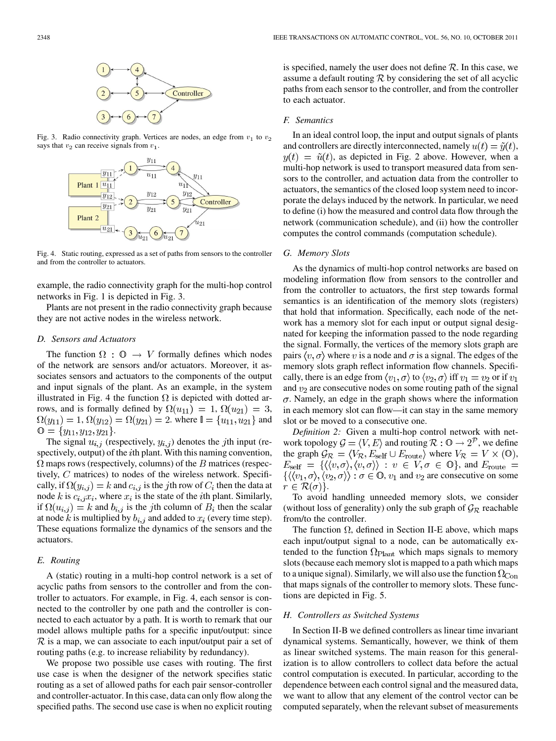

Fig. 3. Radio connectivity graph. Vertices are nodes, an edge from  $v_1$  to  $v_2$ says that  $v_2$  can receive signals from  $v_1$ .



Fig. 4. Static routing, expressed as a set of paths from sensors to the controller and from the controller to actuators.

example, the radio connectivity graph for the multi-hop control networks in Fig. 1 is depicted in Fig. 3.

Plants are not present in the radio connectivity graph because they are not active nodes in the wireless network.

# *D. Sensors and Actuators*

The function  $\Omega : \mathbb{O} \to V$  formally defines which nodes of the network are sensors and/or actuators. Moreover, it associates sensors and actuators to the components of the output and input signals of the plant. As an example, in the system illustrated in Fig. 4 the function  $\Omega$  is depicted with dotted arrows, and is formally defined by  $\Omega(u_{11}) = 1$ ,  $\Omega(u_{21}) = 3$ ,  $\Omega(y_{11}) = 1, \Omega(y_{12}) = \Omega(y_{21}) = 2$ , where  $\mathbb{I} = \{u_{11}, u_{21}\}$  and  $\mathbb{O} = \{y_{11}, y_{12}, y_{21}\}.$ 

The signal  $u_{i,j}$  (respectively,  $y_{i,j}$ ) denotes the jth input (respectively, output) of the  $i$ th plant. With this naming convention,  $\Omega$  maps rows (respectively, columns) of the B matrices (respectively,  $C$  matrices) to nodes of the wireless network. Specifically, if  $\Omega(y_{i,j}) = k$  and  $c_{i,j}$  is the jth row of  $C_i$  then the data at node k is  $c_{i,j}x_i$ , where  $x_i$  is the state of the *i*th plant. Similarly, if  $\Omega(u_{i,j}) = k$  and  $b_{i,j}$  is the jth column of  $B_i$  then the scalar at node k is multiplied by  $b_{i,j}$  and added to  $x_i$  (every time step). These equations formalize the dynamics of the sensors and the actuators.

# *E. Routing*

A (static) routing in a multi-hop control network is a set of acyclic paths from sensors to the controller and from the controller to actuators. For example, in Fig. 4, each sensor is connected to the controller by one path and the controller is connected to each actuator by a path. It is worth to remark that our model allows multiple paths for a specific input/output: since  $\mathcal R$  is a map, we can associate to each input/output pair a set of routing paths (e.g. to increase reliability by redundancy).

We propose two possible use cases with routing. The first use case is when the designer of the network specifies static routing as a set of allowed paths for each pair sensor-controller and controller-actuator. In this case, data can only flow along the specified paths. The second use case is when no explicit routing is specified, namely the user does not define  $R$ . In this case, we assume a default routing  $\mathcal R$  by considering the set of all acyclic paths from each sensor to the controller, and from the controller to each actuator.

#### *F. Semantics*

In an ideal control loop, the input and output signals of plants and controllers are directly interconnected, namely  $u(t) = \tilde{y}(t)$ ,  $y(t) = \tilde{u}(t)$ , as depicted in Fig. 2 above. However, when a multi-hop network is used to transport measured data from sensors to the controller, and actuation data from the controller to actuators, the semantics of the closed loop system need to incorporate the delays induced by the network. In particular, we need to define (i) how the measured and control data flow through the network (communication schedule), and (ii) how the controller computes the control commands (computation schedule).

### *G. Memory Slots*

As the dynamics of multi-hop control networks are based on modeling information flow from sensors to the controller and from the controller to actuators, the first step towards formal semantics is an identification of the memory slots (registers) that hold that information. Specifically, each node of the network has a memory slot for each input or output signal designated for keeping the information passed to the node regarding the signal. Formally, the vertices of the memory slots graph are pairs  $\langle v, \sigma \rangle$  where v is a node and  $\sigma$  is a signal. The edges of the memory slots graph reflect information flow channels. Specifically, there is an edge from  $\langle v_1, \sigma \rangle$  to  $\langle v_2, \sigma \rangle$  iff  $v_1 = v_2$  or if  $v_1$ and  $v_2$  are consecutive nodes on some routing path of the signal  $\sigma$ . Namely, an edge in the graph shows where the information in each memory slot can flow—it can stay in the same memory slot or be moved to a consecutive one.

*Definition 2:* Given a multi-hop control network with network topology  $\mathcal{G} = \langle V, E \rangle$  and routing  $\mathcal{R} : \mathbb{O} \to 2^{\mathcal{P}}$ , we define the graph  $\mathcal{G}_{\mathcal{R}} = \langle V_{\mathcal{R}}, E_{\text{self}} \cup E_{\text{route}} \rangle$  where  $V_{\mathcal{R}} = V \times (0)$ ,  $E_{\text{self}} = \{ \langle \langle v, \sigma \rangle, \langle v, \sigma \rangle \rangle : v \in V, \sigma \in \mathbb{O} \}, \text{ and } E_{\text{route}} =$  $\{\langle v_1, \sigma \rangle, \langle v_2, \sigma \rangle\}$ :  $\sigma \in \mathbb{O}$ ,  $v_1$  and  $v_2$  are consecutive on some  $r \in \mathcal{R}(\sigma)$ .

To avoid handling unneeded memory slots, we consider (without loss of generality) only the sub graph of  $\mathcal{G}_{\mathcal{R}}$  reachable from/to the controller.

The function  $\Omega$ , defined in Section II-E above, which maps each input/output signal to a node, can be automatically extended to the function  $\Omega_{\text{Plant}}$  which maps signals to memory slots (because each memory slot is mapped to a path which maps to a unique signal). Similarly, we will also use the function  $\Omega_{\text{Con}}$ that maps signals of the controller to memory slots. These functions are depicted in Fig. 5.

#### *H. Controllers as Switched Systems*

In Section II-B we defined controllers as linear time invariant dynamical systems. Semantically, however, we think of them as linear switched systems. The main reason for this generalization is to allow controllers to collect data before the actual control computation is executed. In particular, according to the dependence between each control signal and the measured data, we want to allow that any element of the control vector can be computed separately, when the relevant subset of measurements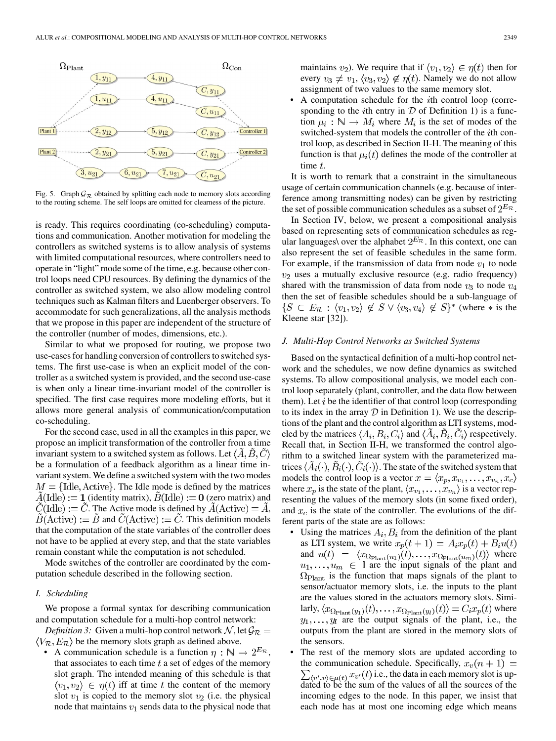

Fig. 5. Graph  $\mathcal{G}_{\mathcal{R}}$  obtained by splitting each node to memory slots according to the routing scheme. The self loops are omitted for clearness of the picture.

is ready. This requires coordinating (co-scheduling) computations and communication. Another motivation for modeling the controllers as switched systems is to allow analysis of systems with limited computational resources, where controllers need to operate in "light" mode some of the time, e.g. because other control loops need CPU resources. By defining the dynamics of the controller as switched system, we also allow modeling control techniques such as Kalman filters and Luenberger observers. To accommodate for such generalizations, all the analysis methods that we propose in this paper are independent of the structure of the controller (number of modes, dimensions, etc.).

Similar to what we proposed for routing, we propose two use-cases for handling conversion of controllers to switched systems. The first use-case is when an explicit model of the controller as a switched system is provided, and the second use-case is when only a linear time-invariant model of the controller is specified. The first case requires more modeling efforts, but it allows more general analysis of communication/computation co-scheduling.

For the second case, used in all the examples in this paper, we propose an implicit transformation of the controller from a time invariant system to a switched system as follows. Let  $\langle A, B, C \rangle$ be a formulation of a feedback algorithm as a linear time invariant system. We define a switched system with the two modes  $M = \{$ Idle, Active $\}$ . The Idle mode is defined by the matrices  $\ddot{A}$ (Idle) := 1 (identity matrix),  $\ddot{B}$ (Idle) := 0 (zero matrix) and  $\tilde{C}$ (Idle) :=  $\tilde{C}$ . The Active mode is defined by  $A$ (Active) = A,  $B(\text{Active}) := B$  and  $C(\text{Active}) := C$ . This definition models that the computation of the state variables of the controller does not have to be applied at every step, and that the state variables remain constant while the computation is not scheduled.

Mode switches of the controller are coordinated by the computation schedule described in the following section.

#### *I. Scheduling*

We propose a formal syntax for describing communication and computation schedule for a multi-hop control network:

*Definition 3:* Given a multi-hop control network  $\mathcal{N}$ , let  $\mathcal{G}_{\mathcal{R}} =$  $\langle V_{\mathcal{R}}, E_{\mathcal{R}} \rangle$  be the memory slots graph as defined above.

• A communication schedule is a function  $\eta : \mathbb{N} \to 2^{E_{\mathcal{R}}}$ , that associates to each time  $t$  a set of edges of the memory slot graph. The intended meaning of this schedule is that  $\langle v_1, v_2 \rangle \in \eta(t)$  iff at time t the content of the memory slot  $v_1$  is copied to the memory slot  $v_2$  (i.e. the physical node that maintains  $v_1$  sends data to the physical node that maintains  $v_2$ ). We require that if  $\langle v_1, v_2 \rangle \in \eta(t)$  then for every  $v_3 \neq v_1$ ,  $\langle v_3, v_2 \rangle \notin \eta(t)$ . Namely we do not allow assignment of two values to the same memory slot.

A computation schedule for the  $i$ th control loop (corresponding to the *i*th entry in  $D$  of Definition 1) is a function  $\mu_i : \mathbb{N} \to M_i$  where  $M_i$  is the set of modes of the switched-system that models the controller of the *i*th control loop, as described in Section II-H. The meaning of this function is that  $\mu_i(t)$  defines the mode of the controller at time  $t$ .

It is worth to remark that a constraint in the simultaneous usage of certain communication channels (e.g. because of interference among transmitting nodes) can be given by restricting the set of possible communication schedules as a subset of  $2^{E_{\mathcal{R}}}$ .

In Section IV, below, we present a compositional analysis based on representing sets of communication schedules as regular languages\ over the alphabet  $2^{E_{\mathcal{R}}}$ . In this context, one can also represent the set of feasible schedules in the same form. For example, if the transmission of data from node  $v_1$  to node  $v_2$  uses a mutually exclusive resource (e.g. radio frequency) shared with the transmission of data from node  $v_3$  to node  $v_4$ then the set of feasible schedules should be a sub-language of  $\{S \subset E_{\mathcal{R}} : \langle v_1, v_2 \rangle \notin S \vee \langle v_3, v_4 \rangle \notin S\}^*$  (where  $*$  is the Kleene star [32]).

# *J. Multi-Hop Control Networks as Switched Systems*

Based on the syntactical definition of a multi-hop control network and the schedules, we now define dynamics as switched systems. To allow compositional analysis, we model each control loop separately (plant, controller, and the data flow between them). Let  $i$  be the identifier of that control loop (corresponding to its index in the array  $D$  in Definition 1). We use the descriptions of the plant and the control algorithm as LTI systems, modeled by the matrices  $\langle A_i, B_i, C_i \rangle$  and  $\langle A_i, B_i, C_i \rangle$  respectively. Recall that, in Section II-H, we transformed the control algorithm to a switched linear system with the parameterized matrices  $\langle A_i(\cdot), B_i(\cdot), C_i(\cdot) \rangle$ . The state of the switched system that models the control loop is a vector  $x = \langle x_p, x_{v_1}, \dots, x_{v_n}, x_c \rangle$ where  $x_p$  is the state of the plant,  $\langle x_{v_1}, \ldots, x_{v_n} \rangle$  is a vector representing the values of the memory slots (in some fixed order), and  $x_c$  is the state of the controller. The evolutions of the different parts of the state are as follows:

- Using the matrices  $A_i, B_i$  from the definition of the plant as LTI system, we write  $x_p(t+1) = A_i x_p(t) + B_i u(t)$ and  $u(t) = \langle x_{\Omega_{\text{Plant}}(u_1)}(t), \ldots, x_{\Omega_{\text{Plant}}(u_m)}(t) \rangle$  where  $u_1, \ldots, u_m \in \mathbb{I}$  are the input signals of the plant and  $\Omega_{\text{Plant}}$  is the function that maps signals of the plant to sensor/actuator memory slots, i.e. the inputs to the plant are the values stored in the actuators memory slots. Similarly,  $\langle x_{\Omega_{\text{Plant}}(y_1)}(t), \ldots, x_{\Omega_{\text{Plant}}(y_l)}(t) \rangle = C_i x_p(t)$  where  $y_1, \ldots, y_l$  are the output signals of the plant, i.e., the outputs from the plant are stored in the memory slots of the sensors.
- The rest of the memory slots are updated according to the communication schedule. Specifically,  $x_v(n + 1) =$  $\sum_{\langle v',v\rangle\in\mu(t)} x_{v'}(t)$  i.e., the data in each memory slot is updated to be the sum of the values of all the sources of the incoming edges to the node. In this paper, we insist that each node has at most one incoming edge which means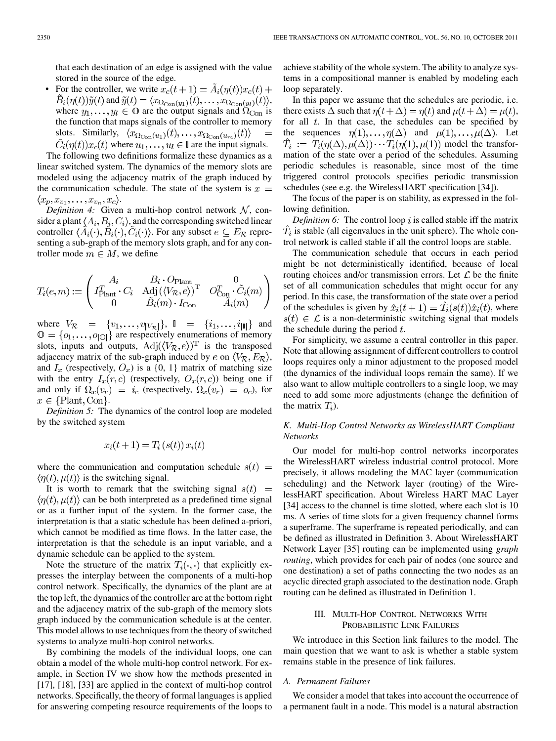that each destination of an edge is assigned with the value stored in the source of the edge.

For the controller, we write  $x_c(t+1) = \tilde{A}_i(\eta(t))x_c(t) +$ and  $\tilde{y}(t) = \langle x_{\Omega_{\text{Con}}(y_1)}(t), \ldots, x_{\Omega_{\text{Con}}(y_l)}(t) \rangle$ , where  $y_1, \ldots, y_l \in \mathbb{O}$  are the output signals and  $\Omega_{\text{Con}}$  is the function that maps signals of the controller to memory slots. Similarly,  $\langle x_{\Omega_{\text{Con}}(u_1)}(t), \ldots, x_{\Omega_{\text{Con}}(u_m)}(t) \rangle$  $C_i(\eta(t))x_c(t)$  where  $u_1,\ldots,u_l \in \mathbb{I}$  are the input signals.

The following two definitions formalize these dynamics as a linear switched system. The dynamics of the memory slots are modeled using the adjacency matrix of the graph induced by the communication schedule. The state of the system is  $x =$  $\langle x_p, x_{v_1}, \ldots, x_{v_n}, x_c \rangle$ .

*Definition 4:* Given a multi-hop control network  $N$ , consider a plant  $\langle A_i, B_i, C_i \rangle$ , and the corresponding switched linear controller  $\langle \tilde{A}_i(\cdot), \tilde{B}_i(\cdot), \tilde{C}_i(\cdot) \rangle$ . For any subset  $e \subseteq E_{\mathcal{R}}$  representing a sub-graph of the memory slots graph, and for any controller mode  $m \in M$ , we define

$$
T_i(e,m) := \begin{pmatrix} A_i & B_i \cdot O_{\text{Plant}} & 0 \\ I_{\text{Plant}}^T \cdot C_i & \text{Adj}(\langle V_{\mathcal{R}}, e \rangle)^T & O_{\text{Con}}^T \cdot \tilde{C}_i(m) \\ 0 & \tilde{B}_i(m) \cdot I_{\text{Con}} & \tilde{A}_i(m) \end{pmatrix}
$$

where  $V_R = \{v_1, \ldots, v_{|V_R|}\}, \quad l = \{i_1, \ldots, i_{|l|}\}$  and are respectively enumerations of memory slots, inputs and outputs,  $\text{Adj}(\langle V_{\mathcal{R}}, e \rangle)$ <sup>T</sup> is the transposed adjacency matrix of the sub-graph induced by e on  $\langle V_{\mathcal{R}}, E_{\mathcal{R}} \rangle$ , and  $I_x$  (respectively,  $O_x$ ) is a {0, 1} matrix of matching size with the entry  $I_x(r, c)$  (respectively,  $O_x(r, c)$ ) being one if and only if  $\Omega_x(v_r) = i_c$  (respectively,  $\Omega_x(v_r) = o_c$ ), for  $x \in \{\text{Plant}, \text{Con}\}.$ 

*Definition 5:* The dynamics of the control loop are modeled by the switched system

$$
x_i(t+1) = T_i(s(t))x_i(t)
$$

where the communication and computation schedule  $s(t)$  =  $\langle \eta(t), \mu(t) \rangle$  is the switching signal.

It is worth to remark that the switching signal  $s(t)$  =  $\langle \eta(t), \mu(t) \rangle$  can be both interpreted as a predefined time signal or as a further input of the system. In the former case, the interpretation is that a static schedule has been defined a-priori, which cannot be modified as time flows. In the latter case, the interpretation is that the schedule is an input variable, and a dynamic schedule can be applied to the system.

Note the structure of the matrix  $T_i(\cdot, \cdot)$  that explicitly expresses the interplay between the components of a multi-hop control network. Specifically, the dynamics of the plant are at the top left, the dynamics of the controller are at the bottom right and the adjacency matrix of the sub-graph of the memory slots graph induced by the communication schedule is at the center. This model allows to use techniques from the theory of switched systems to analyze multi-hop control networks.

By combining the models of the individual loops, one can obtain a model of the whole multi-hop control network. For example, in Section IV we show how the methods presented in [17], [18], [33] are applied in the context of multi-hop control networks. Specifically, the theory of formal languages is applied for answering competing resource requirements of the loops to achieve stability of the whole system. The ability to analyze systems in a compositional manner is enabled by modeling each loop separately.

In this paper we assume that the schedules are periodic, i.e. there exists  $\Delta$  such that  $\eta(t + \Delta) = \eta(t)$  and  $\mu(t + \Delta) = \mu(t)$ , for all  $t$ . In that case, the schedules can be specified by the sequences  $\eta(1), \ldots, \eta(\Delta)$  and  $\mu(1), \ldots, \mu(\Delta)$ . Let  $\hat{T}_i := T_i(\eta(\Delta), \mu(\Delta)) \cdots T_i(\eta(1), \mu(1))$  model the transformation of the state over a period of the schedules. Assuming periodic schedules is reasonable, since most of the time triggered control protocols specifies periodic transmission schedules (see e.g. the WirelessHART specification [34]).

The focus of the paper is on stability, as expressed in the following definition.

*Definition 6:* The control loop  $i$  is called stable iff the matrix  $\hat{T}_i$  is stable (all eigenvalues in the unit sphere). The whole control network is called stable if all the control loops are stable.

The communication schedule that occurs in each period might be not deterministically identified, because of local routing choices and/or transmission errors. Let  $\mathcal L$  be the finite set of all communication schedules that might occur for any period. In this case, the transformation of the state over a period of the schedules is given by  $\hat{x}_i(t+1) = \hat{T}_i(s(t))\hat{x}_i(t)$ , where  $s(t) \in \mathcal{L}$  is a non-deterministic switching signal that models the schedule during the period  $t$ .

For simplicity, we assume a central controller in this paper. Note that allowing assignment of different controllers to control loops requires only a minor adjustment to the proposed model (the dynamics of the individual loops remain the same). If we also want to allow multiple controllers to a single loop, we may need to add some more adjustments (change the definition of the matrix  $T_i$ ).

# *K. Multi-Hop Control Networks as WirelessHART Compliant Networks*

Our model for multi-hop control networks incorporates the WirelessHART wireless industrial control protocol. More precisely, it allows modeling the MAC layer (communication scheduling) and the Network layer (routing) of the WirelessHART specification. About Wireless HART MAC Layer [34] access to the channel is time slotted, where each slot is 10 ms. A series of time slots for a given frequency channel forms a superframe. The superframe is repeated periodically, and can be defined as illustrated in Definition 3. About WirelessHART Network Layer [35] routing can be implemented using *graph routing*, which provides for each pair of nodes (one source and one destination) a set of paths connecting the two nodes as an acyclic directed graph associated to the destination node. Graph routing can be defined as illustrated in Definition 1.

## III. MULTI-HOP CONTROL NETWORKS WITH PROBABILISTIC LINK FAILURES

We introduce in this Section link failures to the model. The main question that we want to ask is whether a stable system remains stable in the presence of link failures.

#### *A. Permanent Failures*

We consider a model that takes into account the occurrence of a permanent fault in a node. This model is a natural abstraction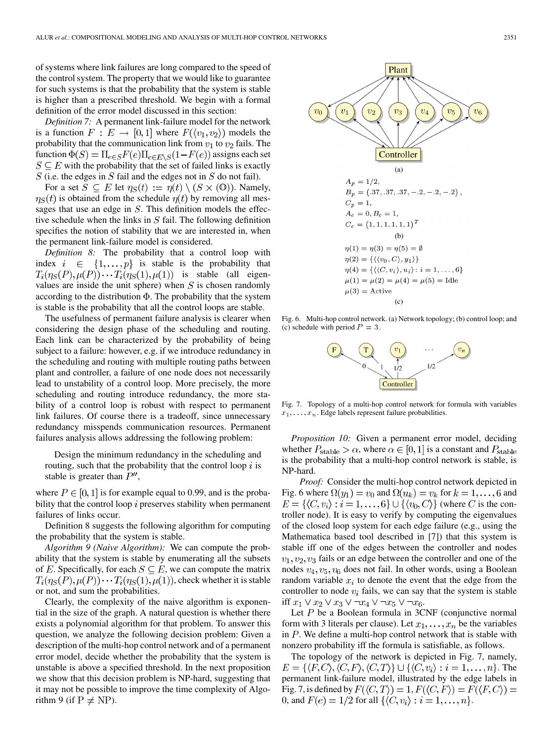of systems where link failures are long compared to the speed of the control system. The property that we would like to guarantee for such systems is that the probability that the system is stable is higher than a prescribed threshold. We begin with a formal definition of the error model discussed in this section:

*Definition 7:* A permanent link-failure model for the network is a function  $F: E \to [0,1]$  where  $F(\langle v_1, v_2 \rangle)$  models the probability that the communication link from  $v_1$  to  $v_2$  fails. The function  $\Phi(S) = \prod_{e \in S} F(e) \prod_{e \in E \setminus S} (1 - F(e))$  assigns each set  $S \subseteq E$  with the probability that the set of failed links is exactly  $S$  (i.e. the edges in  $S$  fail and the edges not in  $S$  do not fail).

For a set  $S \subseteq E$  let  $\eta_S(t) := \eta(t) \setminus (S \times (0))$ . Namely,  $\eta_S(t)$  is obtained from the schedule  $\eta(t)$  by removing all messages that use an edge in  $S$ . This definition models the effective schedule when the links in  $S$  fail. The following definition specifies the notion of stability that we are interested in, when the permanent link-failure model is considered.

*Definition 8:* The probability that a control loop with index  $i \in \{1, ..., p\}$  is stable is the probability that  $T_i(\eta_S(P), \mu(P)) \cdots T_i(\eta_S(1), \mu(1))$  is stable (all eigenvalues are inside the unit sphere) when  $S$  is chosen randomly according to the distribution  $\Phi$ . The probability that the system is stable is the probability that all the control loops are stable.

The usefulness of permanent failure analysis is clearer when considering the design phase of the scheduling and routing. Each link can be characterized by the probability of being subject to a failure: however, e.g. if we introduce redundancy in the scheduling and routing with multiple routing paths between plant and controller, a failure of one node does not necessarily lead to unstability of a control loop. More precisely, the more scheduling and routing introduce redundancy, the more stability of a control loop is robust with respect to permanent link failures. Of course there is a tradeoff, since unnecessary redundancy misspends communication resources. Permanent failures analysis allows addressing the following problem:

Design the minimum redundancy in the scheduling and routing, such that the probability that the control loop  $i$  is stable is greater than  $P''$ ,

where  $P \in [0, 1]$  is for example equal to 0.99, and is the probability that the control loop  $i$  preserves stability when permanent failures of links occur.

Definition 8 suggests the following algorithm for computing the probability that the system is stable.

*Algorithm 9 (Naive Algorithm):* We can compute the probability that the system is stable by enumerating all the subsets of E. Specifically, for each  $S \subseteq E$ , we can compute the matrix  $T_i(\eta_S(P), \mu(P)) \cdots T_i(\eta_S(1), \mu(1))$ , check whether it is stable or not, and sum the probabilities.

Clearly, the complexity of the naive algorithm is exponential in the size of the graph. A natural question is whether there exists a polynomial algorithm for that problem. To answer this question, we analyze the following decision problem: Given a description of the multi-hop control network and of a permanent error model, decide whether the probability that the system is unstable is above a specified threshold. In the next proposition we show that this decision problem is NP-hard, suggesting that it may not be possible to improve the time complexity of Algorithm 9 (if  $P \neq NP$ ).



Fig. 6. Multi-hop control network. (a) Network topology; (b) control loop; and (c) schedule with period  $P = 3$ .



Fig. 7. Topology of a multi-hop control network for formula with variables  $x_1, \ldots, x_n$ . Edge labels represent failure probabilities.

*Proposition 10:* Given a permanent error model, deciding whether  $P_{stable} > \alpha$ , where  $\alpha \in [0,1]$  is a constant and  $P_{stable}$ is the probability that a multi-hop control network is stable, is NP-hard.

*Proof:* Consider the multi-hop control network depicted in Fig. 6 where  $\Omega(y_1) = v_0$  and  $\Omega(u_k) = v_k$  for  $k = 1, \dots, 6$  and  $E = \{ \langle C, v_i \rangle : i = 1, \dots, 6 \} \cup \{ \langle v_0, C \rangle \}$  (where C is the controller node). It is easy to verify by computing the eigenvalues of the closed loop system for each edge failure (e.g., using the Mathematica based tool described in [7]) that this system is stable iff one of the edges between the controller and nodes  $v_1, v_2, v_3$  fails or an edge between the controller and one of the nodes  $v_4, v_5, v_6$  does not fail. In other words, using a Boolean random variable  $x_i$  to denote the event that the edge from the controller to node  $v_i$  fails, we can say that the system is stable iff  $x_1 \vee x_2 \vee x_3 \vee \neg x_4 \vee \neg x_5 \vee \neg x_6$ .

Let  $P$  be a Boolean formula in 3CNF (conjunctive normal form with 3 literals per clause). Let  $x_1, \ldots, x_n$  be the variables in  $P$ . We define a multi-hop control network that is stable with nonzero probability iff the formula is satisfiable, as follows.

The topology of the network is depicted in Fig. 7, namely,  $E = \{ \langle F, C \rangle, \langle C, F \rangle, \langle C, T \rangle \} \cup \{ \langle C, v_i \rangle : i = 1, \dots, n \}.$  The permanent link-failure model, illustrated by the edge labels in Fig. 7, is defined by  $F(\langle C, T \rangle) = 1, F(\langle C, F \rangle) = F(\langle F, C \rangle) =$ 0, and  $F(e) = 1/2$  for all  $\{(C, v_i) : i = 1, ..., n\}.$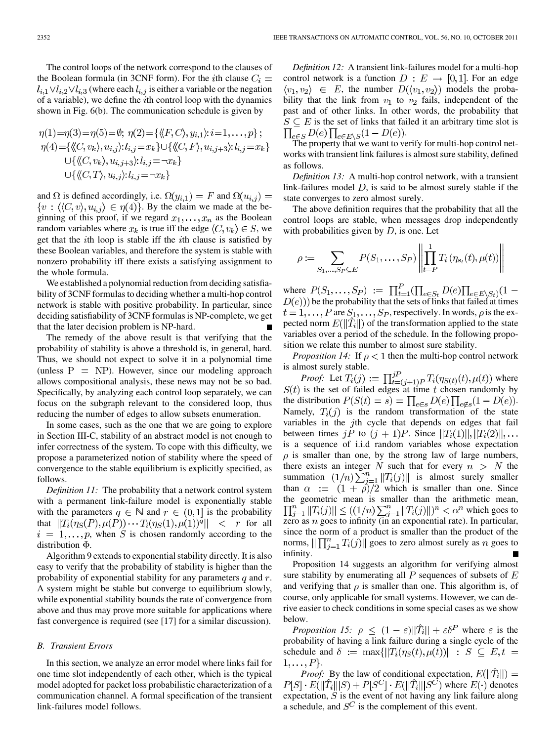The control loops of the network correspond to the clauses of the Boolean formula (in 3CNF form). For the *i*th clause  $C_i =$  $l_{i,1} \vee l_{i,2} \vee l_{i,3}$  (where each  $l_{i,j}$  is either a variable or the negation of a variable), we define the  $i$ th control loop with the dynamics shown in Fig. 6(b). The communication schedule is given by

$$
\eta(1) = \eta(3) = \eta(5) = \emptyset; \ \eta(2) = \{ \langle F, C \rangle, y_{i,1} \rangle : i = 1, \dots, p \} ;\n\eta(4) = \{ \langle C, v_k \rangle, u_{i,j} \rangle : l_{i,j} = x_k \} \cup \{ \langle C, F \rangle, u_{i,j+3} \rangle : l_{i,j} = x_k \} \n\cup \{ \langle C, v_k \rangle, u_{i,j+3} \rangle : l_{i,j} = \neg x_k \} \n\cup \{ \langle C, T \rangle, u_{i,j} \rangle : l_{i,j} = \neg x_k \}
$$

and  $\Omega$  is defined accordingly, i.e.  $\Omega(y_{i,1}) = F$  and  $\Omega(u_{i,j}) =$  $\{v: \langle\langle C,v\rangle, u_{i,j}\rangle \in \eta(4)\}\.$  By the claim we made at the beginning of this proof, if we regard  $x_1, \ldots, x_n$  as the Boolean random variables where  $x_k$  is true iff the edge  $\langle C, v_k \rangle \in S$ , we get that the *i*th loop is stable iff the *i*th clause is satisfied by these Boolean variables, and therefore the system is stable with nonzero probability iff there exists a satisfying assignment to the whole formula.

We established a polynomial reduction from deciding satisfiability of 3CNF formulas to deciding whether a multi-hop control network is stable with positive probability. In particular, since deciding satisfiability of 3CNF formulas is NP-complete, we get that the later decision problem is NP-hard.

The remedy of the above result is that verifying that the probability of stability is above a threshold is, in general, hard. Thus, we should not expect to solve it in a polynomial time (unless  $P = NP$ ). However, since our modeling approach allows compositional analysis, these news may not be so bad. Specifically, by analyzing each control loop separately, we can focus on the subgraph relevant to the considered loop, thus reducing the number of edges to allow subsets enumeration.

In some cases, such as the one that we are going to explore in Section III-C, stability of an abstract model is not enough to infer correctness of the system. To cope with this difficulty, we propose a parameterized notion of stability where the speed of convergence to the stable equilibrium is explicitly specified, as follows.

*Definition 11:* The probability that a network control system with a permanent link-failure model is exponentially stable with the parameters  $q \in \mathbb{N}$  and  $r \in (0,1]$  is the probability that  $||T_i(\eta_S(P), \mu(P)) \cdots T_i(\eta_S(1), \mu(1))^q|| < r$  for all  $i = 1, \ldots, p$ , when S is chosen randomly according to the distribution  $\Phi$ .

Algorithm 9 extends to exponential stability directly. It is also easy to verify that the probability of stability is higher than the probability of exponential stability for any parameters  $q$  and  $r$ . A system might be stable but converge to equilibrium slowly, while exponential stability bounds the rate of convergence from above and thus may prove more suitable for applications where fast convergence is required (see [17] for a similar discussion).

## *B. Transient Errors*

In this section, we analyze an error model where links fail for one time slot independently of each other, which is the typical model adopted for packet loss probabilistic characterization of a communication channel. A formal specification of the transient link-failures model follows.

*Definition 12:* A transient link-failures model for a multi-hop control network is a function  $D : E \rightarrow [0,1]$ . For an edge  $\langle v_1, v_2 \rangle \in E$ , the number  $D(\langle v_1, v_2 \rangle)$  models the probability that the link from  $v_1$  to  $v_2$  fails, independent of the past and of other links. In other words, the probability that  $S \subseteq E$  is the set of links that failed it an arbitrary time slot is  $\prod_{e \in S} D(e) \prod_{e \in E \backslash S} (1 - D(e)).$ 

The property that we want to verify for multi-hop control networks with transient link failures is almost sure stability, defined as follows.

*Definition 13:* A multi-hop control network, with a transient link-failures model  $D$ , is said to be almost surely stable if the state converges to zero almost surely.

The above definition requires that the probability that all the control loops are stable, when messages drop independently with probabilities given by  $D$ , is one. Let

$$
\rho := \sum_{S_1, ..., S_P \subseteq E} P(S_1, ..., S_P) \left\| \prod_{t=P}^1 T_i(\eta_{s_t}(t), \mu(t)) \right\|
$$

where  $P(S_1, ..., S_P) := \prod_{t=1}^P (\prod_{e \in S_t} D(e) \prod_{e \in E \setminus S_t} (1 D(e))$  be the probability that the sets of links that failed at times  $t = 1, \ldots, P$  are  $S_1, \ldots, S_P$ , respectively. In words,  $\rho$  is the expected norm  $E(||T_i||)$  of the transformation applied to the state variables over a period of the schedule. In the following proposition we relate this number to almost sure stability.

*Proposition 14:* If  $\rho < 1$  then the multi-hop control network is almost surely stable.

*Proof:* Let  $T_i(j) := \prod_{t=(i+1)P}^{j}(T_i(\eta_{S(t)}(t), \mu(t))$  where is the set of failed edges at time  $t$  chosen randomly by the distribution  $P(S(t) = s) = \prod_{e \in s} D(e) \prod_{e \notin s} (1 - D(e)).$ Namely,  $T_i(j)$  is the random transformation of the state variables in the  $j$ th cycle that depends on edges that fail between times  $jP$  to  $(j + 1)P$ . Since  $||T_i(1)||, ||T_i(2)||, \ldots$ is a sequence of i.i.d random variables whose expectation  $\rho$  is smaller than one, by the strong law of large numbers, there exists an integer N such that for every  $n > N$  the summation  $(1/n)\sum_{i=1}^n ||T_i(j)||$  is almost surely smaller than  $\alpha := (1 + \rho)/2$  which is smaller than one. Since the geometric mean is smaller than the arithmetic mean,  $\prod_{j=1}^{n} ||T_i(j)|| \le ((1/n) \sum_{j=1}^{n} ||T_i(j)||)^n < \alpha^n$  which goes to zero as  $n$  goes to infinity (in an exponential rate). In particular, since the norm of a product is smaller than the product of the norms,  $\|\prod_{i=1}^n T_i(j)\|$  goes to zero almost surely as n goes to infinity.

Proposition 14 suggests an algorithm for verifying almost sure stability by enumerating all  $P$  sequences of subsets of  $E$ and verifying that  $\rho$  is smaller than one. This algorithm is, of course, only applicable for small systems. However, we can derive easier to check conditions in some special cases as we show below.

*Proposition 15:*  $\rho \leq (1 - \varepsilon) ||\hat{T}_i|| + \varepsilon \delta^P$  where  $\varepsilon$  is the probability of having a link failure during a single cycle of the schedule and  $\delta := \max\{||T_i(\eta_S(t), \mu(t))|| : S \subseteq E, t =$  $1,\ldots,P$ .

*Proof:* By the law of conditional expectation,  $E(||\hat{T}_i||) =$  $P[S] \cdot E(||\hat{T}_i|||S) + P[S^C] \cdot E(||\hat{T}_i|||S^C)$  where  $E(\cdot)$  denotes expectation,  $S$  is the event of not having any link failure along a schedule, and  $S^C$  is the complement of this event.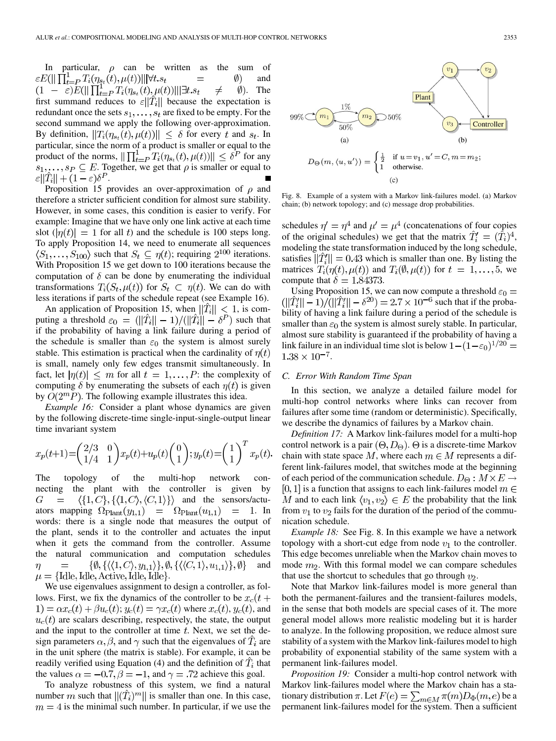In particular,  $\rho$  can be written as the sum of  $\varepsilon E(||\prod_{t=p}^{1} T_i(\eta_{s_t}(t), \mu(t))|| |\forall t, s_t = \emptyset)$  and  $\emptyset$ and  $(1 - \varepsilon)E(||\prod_{t=P}^{1}T_i(\eta_{s_t}(t), \mu(t))|| \exists t.s_t$  $(\emptyset)$ . The  $\neq$ first summand reduces to  $\varepsilon ||T_i||$  because the expectation is redundant once the sets  $s_1, \ldots, s_t$  are fixed to be empty. For the second summand we apply the following over-approximation. By definition,  $||T_i(\eta_{s}(t), \mu(t))|| \leq \delta$  for every t and  $s_t$ . In particular, since the norm of a product is smaller or equal to the product of the norms,  $\|\prod_{t=P}^{1}T_i(\eta_{s_t}(t), \mu(t))\| \leq \delta^P$  for any  $s_1, \ldots, s_P \subseteq E$ . Together, we get that  $\rho$  is smaller or equal to  $\varepsilon ||T_i|| + (1 - \varepsilon)\delta^P.$ 

Proposition 15 provides an over-approximation of  $\rho$  and therefore a stricter sufficient condition for almost sure stability. However, in some cases, this condition is easier to verify. For example: Imagine that we have only one link active at each time slot  $(|\eta(t)| = 1$  for all t) and the schedule is 100 steps long. To apply Proposition 14, we need to enumerate all sequences  $\langle S_1, \ldots, S_{100} \rangle$  such that  $S_t \subseteq \eta(t)$ ; requiring  $2^{100}$  iterations. With Proposition 15 we get down to 100 iterations because the computation of  $\delta$  can be done by enumerating the individual transformations  $T_i(S_t, \mu(t))$  for  $S_t \subset \eta(t)$ . We can do with less iterations if parts of the schedule repeat (see Example 16).

An application of Proposition 15, when  $\|\hat{T}_i\| < 1$ , is computing a threshold  $\varepsilon_0 = (||\hat{T}_i|| - 1)/(||\hat{T}_i|| - \delta^P)$  such that if the probability of having a link failure during a period of the schedule is smaller than  $\varepsilon_0$  the system is almost surely stable. This estimation is practical when the cardinality of  $\eta(t)$ is small, namely only few edges transmit simultaneously. In fact, let  $|\eta(t)| \leq m$  for all  $t = 1, \ldots, P$ : the complexity of computing  $\delta$  by enumerating the subsets of each  $\eta(t)$  is given by  $O(2^mP)$ . The following example illustrates this idea.

*Example 16:* Consider a plant whose dynamics are given by the following discrete-time single-input-single-output linear time invariant system

$$
x_p(t+1) = \begin{pmatrix} 2/3 & 0 \\ 1/4 & 1 \end{pmatrix} x_p(t) + u_p(t) \begin{pmatrix} 0 \\ 1 \end{pmatrix}; y_p(t) = \begin{pmatrix} 1 \\ 1 \end{pmatrix}^T x_p(t).
$$

The topology of the multi-hop network connecting the plant with the controller is given by  $\, G \,$  $\langle \{1, C\}, \{\langle 1, C\rangle, \langle C, 1\rangle\} \rangle$  and the sensors/actuators mapping  $\Omega_{\text{Plant}}(y_{1,1}) = \Omega_{\text{Plant}}(u_{1,1}) = 1$ . In words: there is a single node that measures the output of the plant, sends it to the controller and actuates the input when it gets the command from the controller. Assume the natural communication and computation schedules  $\{\emptyset, \{\langle\langle 1, C\rangle, y_{1,1}\rangle\}, \emptyset, \{\langle\langle C, 1\rangle, u_{1,1}\rangle\}, \emptyset\}$ and  $\eta$  $\mu = \{\text{Idle}, \text{Idle}, \text{Active}, \text{Idle}, \text{Idle}\}.$ 

We use eigenvalues assignment to design a controller, as follows. First, we fix the dynamics of the controller to be  $x_c(t)$  $(1) = \alpha x_c(t) + \beta u_c(t);$   $y_c(t) = \gamma x_c(t)$  where  $x_c(t), y_c(t)$ , and  $u_c(t)$  are scalars describing, respectively, the state, the output and the input to the controller at time  $t$ . Next, we set the design parameters  $\alpha, \beta$ , and  $\gamma$  such that the eigenvalues of  $T_i$  are in the unit sphere (the matrix is stable). For example, it can be readily verified using Equation (4) and the definition of  $T_i$  that the values  $\alpha = -0.7$ ,  $\beta = -1$ , and  $\gamma = .72$  achieve this goal.

To analyze robustness of this system, we find a natural number m such that  $\|(\hat{T}_i)^m\|$  is smaller than one. In this case,  $m = 4$  is the minimal such number. In particular, if we use the



Fig. 8. Example of a system with a Markov link-failures model. (a) Markov chain; (b) network topology; and (c) message drop probabilities.

schedules  $\eta' = \eta^4$  and  $\mu' = \mu^4$  (concatenations of four copies of the original schedules) we get that the matrix  $\hat{T}'_i = (\hat{T}_i)^4$ , modeling the state transformation induced by the long schedule, satisfies  $\|\hat{T}_{i}^{\prime}\|=0.43$  which is smaller than one. By listing the matrices  $T_i(\eta(t), \mu(t))$  and  $T_i(\emptyset, \mu(t))$  for  $t = 1, \ldots, 5$ , we compute that  $\delta = 1.84373$ .

Using Proposition 15, we can now compute a threshold  $\varepsilon_0 =$  $\left(\left\|\hat{T}_{i}'\right\| - 1\right) / \left(\left\|\hat{T}_{i}'\right\| - \delta^{20}\right) = 2.7 \times 10^{-6}$  such that if the probability of having a link failure during a period of the schedule is smaller than  $\varepsilon_0$  the system is almost surely stable. In particular, almost sure stability is guaranteed if the probability of having a link failure in an individual time slot is below  $1 - (1 - \varepsilon_0)^{1/20} =$  $1.38 \times 10^{-7}$ .

# *C. Error With Random Time Span*

In this section, we analyze a detailed failure model for multi-hop control networks where links can recover from failures after some time (random or deterministic). Specifically, we describe the dynamics of failures by a Markov chain.

*Definition 17:* A Markov link-failures model for a multi-hop control network is a pair  $(\Theta, D_{\Theta})$ .  $\Theta$  is a discrete-time Markov chain with state space M, where each  $m \in M$  represents a different link-failures model, that switches mode at the beginning of each period of the communication schedule.  $D_{\Theta}: M \times E \rightarrow$ [0, 1] is a function that assigns to each link-failures model  $m \in$ M and to each link  $\langle v_1, v_2 \rangle \in E$  the probability that the link from  $v_1$  to  $v_2$  fails for the duration of the period of the communication schedule.

*Example 18:* See Fig. 8. In this example we have a network topology with a short-cut edge from node  $v_1$  to the controller. This edge becomes unreliable when the Markov chain moves to mode  $m_2$ . With this formal model we can compare schedules that use the shortcut to schedules that go through  $v_2$ .

Note that Markov link-failures model is more general than both the permanent-failures and the transient-failures models, in the sense that both models are special cases of it. The more general model allows more realistic modeling but it is harder to analyze. In the following proposition, we reduce almost sure stability of a system with the Markov link-failures model to high probability of exponential stability of the same system with a permanent link-failures model.

*Proposition 19:* Consider a multi-hop control network with Markov link-failures model where the Markov chain has a stationary distribution  $\pi$ . Let  $F(e) = \sum_{m \in M} \pi(m) D_{\Phi}(m, e)$  be a permanent link-failures model for the system. Then a sufficient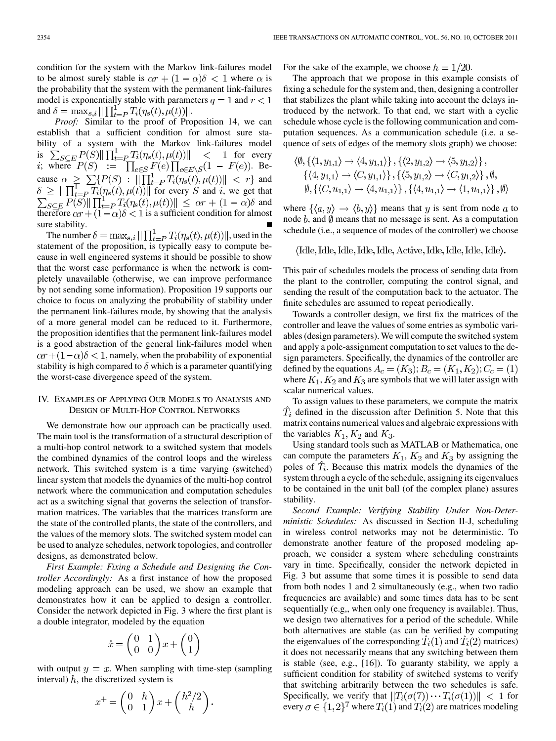condition for the system with the Markov link-failures model to be almost surely stable is  $\alpha r + (1 - \alpha)\delta < 1$  where  $\alpha$  is the probability that the system with the permanent link-failures model is exponentially stable with parameters  $q = 1$  and  $r < 1$ and  $\delta = \max_{s,i} || \prod_{t=p}^{1} T_i(\eta_s(t), \mu(t)) ||.$ 

*Proof:* Similar to the proof of Proposition 14, we can establish that a sufficient condition for almost sure stability of a system with the Markov link-failures model is  $\sum_{S \subseteq E} P(S) || \prod_{t=P}^{1} T_i(\eta_s(t), \mu(t)) || < 1$  for every ; where  $P(S) := \prod_{e \in S} F(e) \prod_{e \in E \setminus S} (1 - F(e))$ . Because  $\alpha \geq \sum \{P(S) : ||\prod_{t=P}^{1}T_i(\eta_s(t), \mu(t))|| < r \}$  and for every  $S$  and  $i$ , we get that  $\sum_{S \subseteq E} P(S) \|\prod_{t=P}^{1} T_i(\eta_s(t), \mu(t))\| \leq \alpha r + (1 - \alpha)\delta$  and therefore  $\alpha r + (1 - \alpha)\delta < 1$  is a sufficient condition for almost sure stability.

The number  $\delta = \max_{s,i} || \prod_{t=p}^{1} T_i(\eta_s(t), \mu(t)) ||$ , used in the statement of the proposition, is typically easy to compute because in well engineered systems it should be possible to show that the worst case performance is when the network is completely unavailable (otherwise, we can improve performance by not sending some information). Proposition 19 supports our choice to focus on analyzing the probability of stability under the permanent link-failures mode, by showing that the analysis of a more general model can be reduced to it. Furthermore, the proposition identifies that the permanent link-failures model is a good abstraction of the general link-failures model when  $\alpha r + (1 - \alpha)\delta < 1$ , namely, when the probability of exponential stability is high compared to  $\delta$  which is a parameter quantifying the worst-case divergence speed of the system.

# IV. EXAMPLES OF APPLYING OUR MODELS TO ANALYSIS AND DESIGN OF MULTI-HOP CONTROL NETWORKS

We demonstrate how our approach can be practically used. The main tool is the transformation of a structural description of a multi-hop control network to a switched system that models the combined dynamics of the control loops and the wireless network. This switched system is a time varying (switched) linear system that models the dynamics of the multi-hop control network where the communication and computation schedules act as a switching signal that governs the selection of transformation matrices. The variables that the matrices transform are the state of the controlled plants, the state of the controllers, and the values of the memory slots. The switched system model can be used to analyze schedules, network topologies, and controller designs, as demonstrated below.

*First Example: Fixing a Schedule and Designing the Controller Accordingly:* As a first instance of how the proposed modeling approach can be used, we show an example that demonstrates how it can be applied to design a controller. Consider the network depicted in Fig. 3 where the first plant is a double integrator, modeled by the equation

$$
\dot{x} = \begin{pmatrix} 0 & 1 \\ 0 & 0 \end{pmatrix} x + \begin{pmatrix} 0 \\ 1 \end{pmatrix}
$$

with output  $y = x$ . When sampling with time-step (sampling interval)  $h$ , the discretized system is

$$
x^+ = \begin{pmatrix} 0 & h \\ 0 & 1 \end{pmatrix} x + \begin{pmatrix} h^2/2 \\ h \end{pmatrix}
$$

For the sake of the example, we choose  $h = 1/20$ .

The approach that we propose in this example consists of fixing a schedule for the system and, then, designing a controller that stabilizes the plant while taking into account the delays introduced by the network. To that end, we start with a cyclic schedule whose cycle is the following communication and computation sequences. As a communication schedule (i.e. a sequence of sets of edges of the memory slots graph) we choose:

$$
\langle \emptyset, \{ \langle 1, y_{1,1} \rangle \to \langle 4, y_{1,1} \rangle \}, \{ \langle 2, y_{1,2} \rangle \to \langle 5, y_{1,2} \rangle \}, \{\langle 4, y_{1,1} \rangle \to \langle C, y_{1,1} \rangle \}, \{\langle 5, y_{1,2} \rangle \to \langle C, y_{1,2} \rangle \}, \emptyset, \n\emptyset, \{\langle C, u_{1,1} \rangle \to \langle 4, u_{1,1} \rangle \}, \{\langle 4, u_{1,1} \rangle \to \langle 1, u_{1,1} \rangle \}, \emptyset \rangle
$$

where  $\{\langle a, y \rangle \to \langle b, y \rangle\}$  means that y is sent from node a to node b, and  $\emptyset$  means that no message is sent. As a computation schedule (i.e., a sequence of modes of the controller) we choose

(Idle, Idle, Idle, Idle, Idle, Active, Idle, Idle, Idle, Idle).

This pair of schedules models the process of sending data from the plant to the controller, computing the control signal, and sending the result of the computation back to the actuator. The finite schedules are assumed to repeat periodically.

Towards a controller design, we first fix the matrices of the controller and leave the values of some entries as symbolic variables (design parameters). We will compute the switched system and apply a pole-assignment computation to set values to the design parameters. Specifically, the dynamics of the controller are defined by the equations  $A_c = (K_3); B_c = (K_1, K_2); C_c = (1)$ where  $K_1, K_2$  and  $K_3$  are symbols that we will later assign with scalar numerical values.

To assign values to these parameters, we compute the matrix  $T<sub>i</sub>$  defined in the discussion after Definition 5. Note that this matrix contains numerical values and algebraic expressions with the variables  $K_1, K_2$  and  $K_3$ .

Using standard tools such as MATLAB or Mathematica, one can compute the parameters  $K_1$ ,  $K_2$  and  $K_3$  by assigning the poles of  $T_i$ . Because this matrix models the dynamics of the system through a cycle of the schedule, assigning its eigenvalues to be contained in the unit ball (of the complex plane) assures stability.

*Second Example: Verifying Stability Under Non-Deterministic Schedules:* As discussed in Section II-J, scheduling in wireless control networks may not be deterministic. To demonstrate another feature of the proposed modeling approach, we consider a system where scheduling constraints vary in time. Specifically, consider the network depicted in Fig. 3 but assume that some times it is possible to send data from both nodes 1 and 2 simultaneously (e.g., when two radio frequencies are available) and some times data has to be sent sequentially (e.g,, when only one frequency is available). Thus, we design two alternatives for a period of the schedule. While both alternatives are stable (as can be verified by computing the eigenvalues of the corresponding  $T_i(1)$  and  $T_i(2)$  matrices) it does not necessarily means that any switching between them is stable (see, e.g., [16]). To guaranty stability, we apply a sufficient condition for stability of switched systems to verify that switching arbitrarily between the two schedules is safe. Specifically, we verify that  $||T_i(\sigma(7)) \cdots T_i(\sigma(1))|| < 1$  for every  $\sigma \in \{1,2\}^7$  where  $T_i(1)$  and  $T_i(2)$  are matrices modeling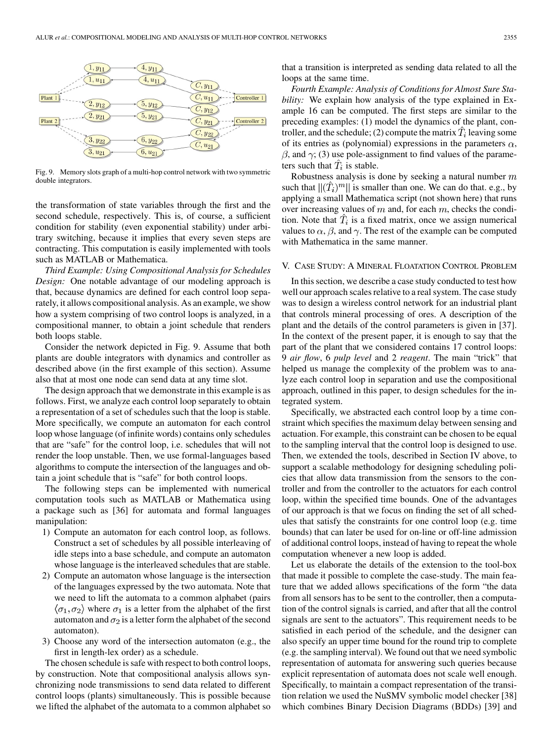

Fig. 9. Memory slots graph of a multi-hop control network with two symmetric double integrators.

the transformation of state variables through the first and the second schedule, respectively. This is, of course, a sufficient condition for stability (even exponential stability) under arbitrary switching, because it implies that every seven steps are contracting. This computation is easily implemented with tools such as MATLAB or Mathematica.

*Third Example: Using Compositional Analysis for Schedules Design:* One notable advantage of our modeling approach is that, because dynamics are defined for each control loop separately, it allows compositional analysis. As an example, we show how a system comprising of two control loops is analyzed, in a compositional manner, to obtain a joint schedule that renders both loops stable.

Consider the network depicted in Fig. 9. Assume that both plants are double integrators with dynamics and controller as described above (in the first example of this section). Assume also that at most one node can send data at any time slot.

The design approach that we demonstrate in this example is as follows. First, we analyze each control loop separately to obtain a representation of a set of schedules such that the loop is stable. More specifically, we compute an automaton for each control loop whose language (of infinite words) contains only schedules that are "safe" for the control loop, i.e. schedules that will not render the loop unstable. Then, we use formal-languages based algorithms to compute the intersection of the languages and obtain a joint schedule that is "safe" for both control loops.

The following steps can be implemented with numerical computation tools such as MATLAB or Mathematica using a package such as [36] for automata and formal languages manipulation:

- 1) Compute an automaton for each control loop, as follows. Construct a set of schedules by all possible interleaving of idle steps into a base schedule, and compute an automaton whose language is the interleaved schedules that are stable.
- 2) Compute an automaton whose language is the intersection of the languages expressed by the two automata. Note that we need to lift the automata to a common alphabet (pairs  $\langle \sigma_1, \sigma_2 \rangle$  where  $\sigma_1$  is a letter from the alphabet of the first automaton and  $\sigma_2$  is a letter form the alphabet of the second automaton).
- 3) Choose any word of the intersection automaton (e.g., the first in length-lex order) as a schedule.

The chosen schedule is safe with respect to both control loops, by construction. Note that compositional analysis allows synchronizing node transmissions to send data related to different control loops (plants) simultaneously. This is possible because we lifted the alphabet of the automata to a common alphabet so

that a transition is interpreted as sending data related to all the loops at the same time.

*Fourth Example: Analysis of Conditions for Almost Sure Stability:* We explain how analysis of the type explained in Example 16 can be computed. The first steps are similar to the preceding examples: (1) model the dynamics of the plant, controller, and the schedule; (2) compute the matrix  $\hat{T}_i$  leaving some of its entries as (polynomial) expressions in the parameters  $\alpha$ ,  $\beta$ , and  $\gamma$ ; (3) use pole-assignment to find values of the parameters such that  $\hat{T}_i$  is stable.

Robustness analysis is done by seeking a natural number  $m$ such that  $||(T_i)^m||$  is smaller than one. We can do that. e.g., by applying a small Mathematica script (not shown here) that runs over increasing values of  $m$  and, for each  $m$ , checks the condition. Note that  $T_i$  is a fixed matrix, once we assign numerical values to  $\alpha$ ,  $\beta$ , and  $\gamma$ . The rest of the example can be computed with Mathematica in the same manner.

#### V. CASE STUDY: A MINERAL FLOATATION CONTROL PROBLEM

In this section, we describe a case study conducted to test how well our approach scales relative to a real system. The case study was to design a wireless control network for an industrial plant that controls mineral processing of ores. A description of the plant and the details of the control parameters is given in [37]. In the context of the present paper, it is enough to say that the part of the plant that we considered contains 17 control loops: 9 *air flow*, 6 *pulp level* and 2 *reagent*. The main "trick" that helped us manage the complexity of the problem was to analyze each control loop in separation and use the compositional approach, outlined in this paper, to design schedules for the integrated system.

Specifically, we abstracted each control loop by a time constraint which specifies the maximum delay between sensing and actuation. For example, this constraint can be chosen to be equal to the sampling interval that the control loop is designed to use. Then, we extended the tools, described in Section IV above, to support a scalable methodology for designing scheduling policies that allow data transmission from the sensors to the controller and from the controller to the actuators for each control loop, within the specified time bounds. One of the advantages of our approach is that we focus on finding the set of all schedules that satisfy the constraints for one control loop (e.g. time bounds) that can later be used for on-line or off-line admission of additional control loops, instead of having to repeat the whole computation whenever a new loop is added.

Let us elaborate the details of the extension to the tool-box that made it possible to complete the case-study. The main feature that we added allows specifications of the form "the data from all sensors has to be sent to the controller, then a computation of the control signals is carried, and after that all the control signals are sent to the actuators". This requirement needs to be satisfied in each period of the schedule, and the designer can also specify an upper time bound for the round trip to complete (e.g. the sampling interval). We found out that we need symbolic representation of automata for answering such queries because explicit representation of automata does not scale well enough. Specifically, to maintain a compact representation of the transition relation we used the NuSMV symbolic model checker [38] which combines Binary Decision Diagrams (BDDs) [39] and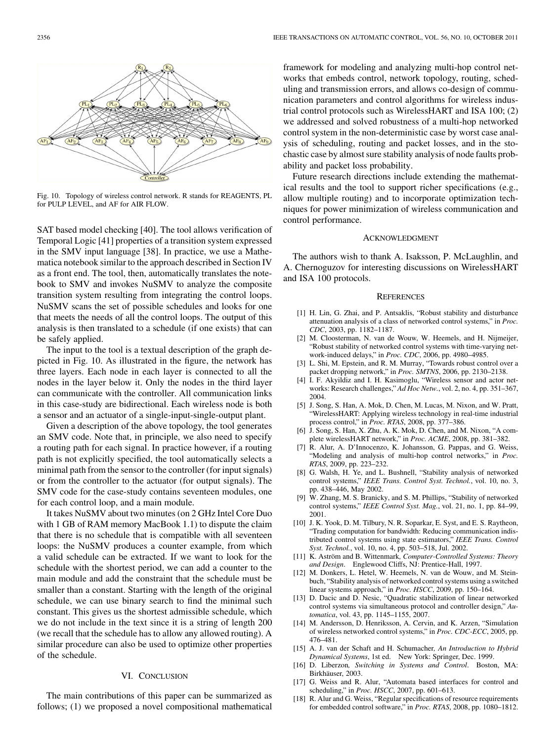

Fig. 10. Topology of wireless control network. R stands for REAGENTS, PL for PULP LEVEL, and AF for AIR FLOW.

SAT based model checking [40]. The tool allows verification of Temporal Logic [41] properties of a transition system expressed in the SMV input language [38]. In practice, we use a Mathematica notebook similar to the approach described in Section IV as a front end. The tool, then, automatically translates the notebook to SMV and invokes NuSMV to analyze the composite transition system resulting from integrating the control loops. NuSMV scans the set of possible schedules and looks for one that meets the needs of all the control loops. The output of this analysis is then translated to a schedule (if one exists) that can be safely applied.

The input to the tool is a textual description of the graph depicted in Fig. 10. As illustrated in the figure, the network has three layers. Each node in each layer is connected to all the nodes in the layer below it. Only the nodes in the third layer can communicate with the controller. All communication links in this case-study are bidirectional. Each wireless node is both a sensor and an actuator of a single-input-single-output plant.

Given a description of the above topology, the tool generates an SMV code. Note that, in principle, we also need to specify a routing path for each signal. In practice however, if a routing path is not explicitly specified, the tool automatically selects a minimal path from the sensor to the controller (for input signals) or from the controller to the actuator (for output signals). The SMV code for the case-study contains seventeen modules, one for each control loop, and a main module.

It takes NuSMV about two minutes (on 2 GHz Intel Core Duo with 1 GB of RAM memory MacBook 1.1) to dispute the claim that there is no schedule that is compatible with all seventeen loops: the NuSMV produces a counter example, from which a valid schedule can be extracted. If we want to look for the schedule with the shortest period, we can add a counter to the main module and add the constraint that the schedule must be smaller than a constant. Starting with the length of the original schedule, we can use binary search to find the minimal such constant. This gives us the shortest admissible schedule, which we do not include in the text since it is a string of length 200 (we recall that the schedule has to allow any allowed routing). A similar procedure can also be used to optimize other properties of the schedule.

# VI. CONCLUSION

The main contributions of this paper can be summarized as follows; (1) we proposed a novel compositional mathematical framework for modeling and analyzing multi-hop control networks that embeds control, network topology, routing, scheduling and transmission errors, and allows co-design of communication parameters and control algorithms for wireless industrial control protocols such as WirelessHART and ISA 100; (2) we addressed and solved robustness of a multi-hop networked control system in the non-deterministic case by worst case analysis of scheduling, routing and packet losses, and in the stochastic case by almost sure stability analysis of node faults probability and packet loss probability.

Future research directions include extending the mathematical results and the tool to support richer specifications (e.g., allow multiple routing) and to incorporate optimization techniques for power minimization of wireless communication and control performance.

#### ACKNOWLEDGMENT

The authors wish to thank A. Isaksson, P. McLaughlin, and A. Chernoguzov for interesting discussions on WirelessHART and ISA 100 protocols.

#### **REFERENCES**

- [1] H. Lin, G. Zhai, and P. Antsaklis, "Robust stability and disturbance attenuation analysis of a class of networked control systems," in *Proc. CDC*, 2003, pp. 1182–1187.
- [2] M. Cloosterman, N. van de Wouw, W. Heemels, and H. Nijmeijer, "Robust stability of networked control systems with time-varying network-induced delays," in *Proc. CDC*, 2006, pp. 4980–4985.
- [3] L. Shi, M. Epstein, and R. M. Murray, "Towards robust control over a packet dropping network," in *Proc. SMTNS*, 2006, pp. 2130–2138.
- [4] I. F. Akyildiz and I. H. Kasimoglu, "Wireless sensor and actor networks: Research challenges," *Ad Hoc Netw.*, vol. 2, no. 4, pp. 351–367, 2004.
- [5] J. Song, S. Han, A. Mok, D. Chen, M. Lucas, M. Nixon, and W. Pratt, "WirelessHART: Applying wireless technology in real-time industrial process control," in *Proc. RTAS*, 2008, pp. 377–386.
- [6] J. Song, S. Han, X. Zhu, A. K. Mok, D. Chen, and M. Nixon, "A complete wirelessHART network," in *Proc. ACME*, 2008, pp. 381–382.
- [7] R. Alur, A. D'Innocenzo, K. Johansson, G. Pappas, and G. Weiss, "Modeling and analysis of multi-hop control networks," in *Proc. RTAS*, 2009, pp. 223–232.
- [8] G. Walsh, H. Ye, and L. Bushnell, "Stability analysis of networked control systems," *IEEE Trans. Control Syst. Technol.*, vol. 10, no. 3, pp. 438–446, May 2002.
- [9] W. Zhang, M. S. Branicky, and S. M. Phillips, "Stability of networked control systems," *IEEE Control Syst. Mag.*, vol. 21, no. 1, pp. 84–99, 2001.
- [10] J. K. Yook, D. M. Tilbury, N. R. Soparkar, E. Syst, and E. S. Raytheon, "Trading computation for bandwidth: Reducing communication indistributed control systems using state estimators," *IEEE Trans. Control Syst. Technol.*, vol. 10, no. 4, pp. 503–518, Jul. 2002.
- [11] K. Aström and B. Wittenmark*, Computer-Controlled Systems: Theory and Design*. Englewood Cliffs, NJ: Prentice-Hall, 1997.
- [12] M. Donkers, L. Hetel, W. Heemels, N. van de Wouw, and M. Steinbuch, "Stability analysis of networked control systems using a switched linear systems approach," in *Proc. HSCC*, 2009, pp. 150–164.
- [13] D. Dacic and D. Nesic, "Quadratic stabilization of linear networked control systems via simultaneous protocol and controller design," *Automatica*, vol. 43, pp. 1145–1155, 2007.
- [14] M. Andersson, D. Henriksson, A. Cervin, and K. Arzen, "Simulation of wireless networked control systems," in *Proc. CDC-ECC*, 2005, pp. 476–481.
- [15] A. J. van der Schaft and H. Schumacher*, An Introduction to Hybrid Dynamical Systems*, 1st ed. New York: Springer, Dec. 1999.
- [16] D. Liberzon*, Switching in Systems and Control*. Boston, MA: Birkhäuser, 2003.
- [17] G. Weiss and R. Alur, "Automata based interfaces for control and scheduling," in *Proc. HSCC*, 2007, pp. 601–613.
- [18] R. Alur and G. Weiss, "Regular specifications of resource requirements for embedded control software," in *Proc. RTAS*, 2008, pp. 1080–1812.